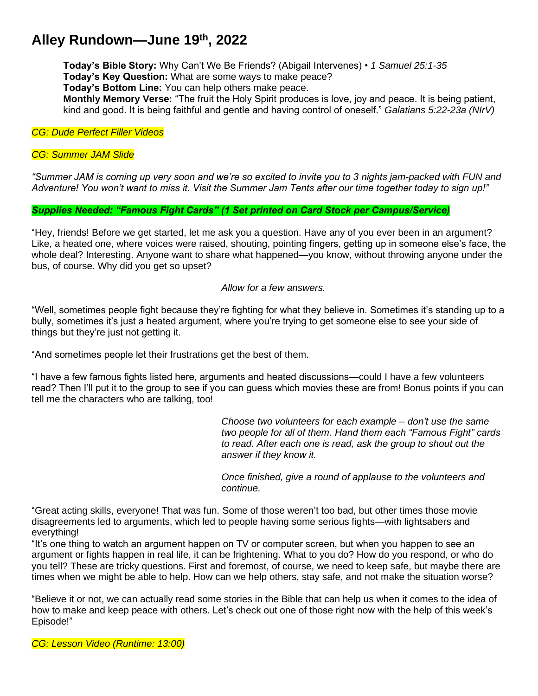## **Alley Rundown—June 19th , 2022**

**Today's Bible Story:** Why Can't We Be Friends? (Abigail Intervenes) • *1 Samuel 25:1-35* **Today's Key Question:** What are some ways to make peace?

**Today's Bottom Line:** You can help others make peace.

**Monthly Memory Verse:** "The fruit the Holy Spirit produces is love, joy and peace. It is being patient, kind and good. It is being faithful and gentle and having control of oneself." *Galatians 5:22-23a (NIrV)*

*CG: Dude Perfect Filler Videos*

*CG: Summer JAM Slide*

*"Summer JAM is coming up very soon and we're so excited to invite you to 3 nights jam-packed with FUN and Adventure! You won't want to miss it. Visit the Summer Jam Tents after our time together today to sign up!"*

*Supplies Needed: "Famous Fight Cards" (1 Set printed on Card Stock per Campus/Service)*

"Hey, friends! Before we get started, let me ask you a question. Have any of you ever been in an argument? Like, a heated one, where voices were raised, shouting, pointing fingers, getting up in someone else's face, the whole deal? Interesting. Anyone want to share what happened—you know, without throwing anyone under the bus, of course. Why did you get so upset?

## *Allow for a few answers.*

"Well, sometimes people fight because they're fighting for what they believe in. Sometimes it's standing up to a bully, sometimes it's just a heated argument, where you're trying to get someone else to see your side of things but they're just not getting it.

"And sometimes people let their frustrations get the best of them.

"I have a few famous fights listed here, arguments and heated discussions—could I have a few volunteers read? Then I'll put it to the group to see if you can guess which movies these are from! Bonus points if you can tell me the characters who are talking, too!

> *Choose two volunteers for each example – don't use the same two people for all of them. Hand them each "Famous Fight" cards to read. After each one is read, ask the group to shout out the answer if they know it.*

*Once finished, give a round of applause to the volunteers and continue.*

"Great acting skills, everyone! That was fun. Some of those weren't too bad, but other times those movie disagreements led to arguments, which led to people having some serious fights—with lightsabers and everything!

"It's one thing to watch an argument happen on TV or computer screen, but when you happen to see an argument or fights happen in real life, it can be frightening. What to you do? How do you respond, or who do you tell? These are tricky questions. First and foremost, of course, we need to keep safe, but maybe there are times when we might be able to help. How can we help others, stay safe, and not make the situation worse?

"Believe it or not, we can actually read some stories in the Bible that can help us when it comes to the idea of how to make and keep peace with others. Let's check out one of those right now with the help of this week's Episode!"